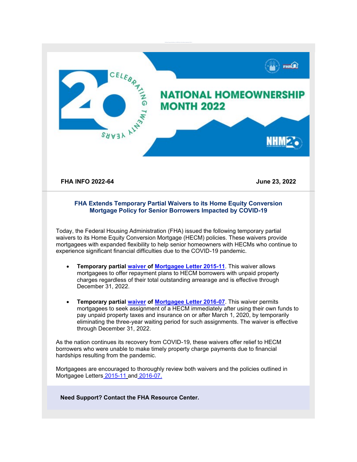

**Need Support? Contact the FHA Resource Center.**